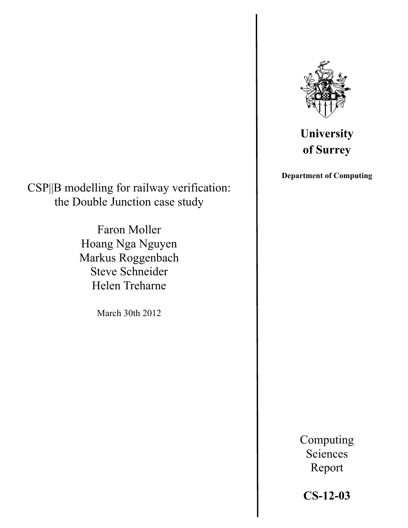

# **University of Surrey**

**Department of Computing**

CSP||B modelling for railway verification: the Double Junction case study

> Faron Moller Hoang Nga Nguyen Markus Roggenbach Steve Schneider Helen Treharne

> > March 30th 2012

Computing Sciences Report

**CS-12-03**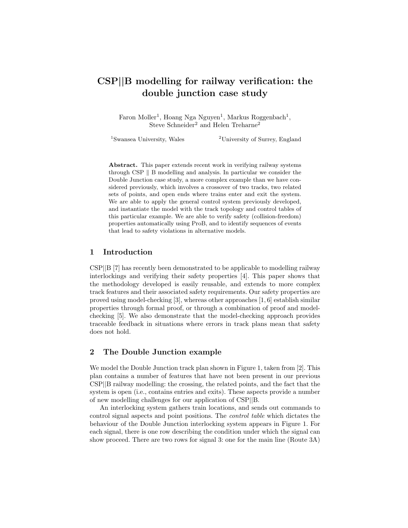# CSP*||*B modelling for railway verification: the double junction case study

Faron Moller<sup>1</sup>, Hoang Nga Nguyen<sup>1</sup>, Markus Roggenbach<sup>1</sup>, Steve Schneider<sup>2</sup> and Helen Treharne<sup>2</sup>

<sup>1</sup>Swansea University, Wales  $\frac{2 \text{University of Survey, England}}{}$ 

Abstract. This paper extends recent work in verifying railway systems through CSP  $\parallel$  B modelling and analysis. In particular we consider the Double Junction case study, a more complex example than we have considered previously, which involves a crossover of two tracks, two related sets of points, and open ends where trains enter and exit the system. We are able to apply the general control system previously developed, and instantiate the model with the track topology and control tables of this particular example. We are able to verify safety (collision-freedom) properties automatically using ProB, and to identify sequences of events that lead to safety violations in alternative models.

## 1 Introduction

CSP*||*B [7] has recently been demonstrated to be applicable to modelling railway interlockings and verifying their safety properties [4]. This paper shows that the methodology developed is easily reusable, and extends to more complex track features and their associated safety requirements. Our safety properties are proved using model-checking [3], whereas other approaches [1, 6] establish similar properties through formal proof, or through a combination of proof and modelchecking [5]. We also demonstrate that the model-checking approach provides traceable feedback in situations where errors in track plans mean that safety does not hold.

#### 2 The Double Junction example

We model the Double Junction track plan shown in Figure 1, taken from [2]. This plan contains a number of features that have not been present in our previous CSP*||*B railway modelling: the crossing, the related points, and the fact that the system is open (i.e., contains entries and exits). These aspects provide a number of new modelling challenges for our application of CSP*||*B.

An interlocking system gathers train locations, and sends out commands to control signal aspects and point positions. The *control table* which dictates the behaviour of the Double Junction interlocking system appears in Figure 1. For each signal, there is one row describing the condition under which the signal can show proceed. There are two rows for signal 3: one for the main line (Route 3A)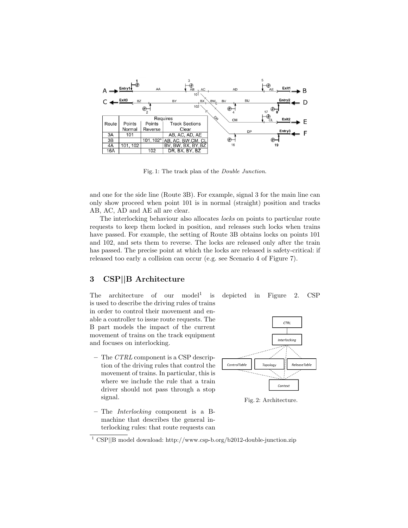

Fig. 1: The track plan of the *Double Junction*.

and one for the side line (Route 3B). For example, signal 3 for the main line can only show proceed when point 101 is in normal (straight) position and tracks AB, AC, AD and AE all are clear.

The interlocking behaviour also allocates *locks* on points to particular route requests to keep them locked in position, and releases such locks when trains have passed. For example, the setting of Route 3B obtains locks on points 101 and 102, and sets them to reverse. The locks are released only after the train has passed. The precise point at which the locks are released is safety-critical: if released too early a collision can occur (e.g. see Scenario 4 of Figure 7).

## 3 CSP*||*B Architecture

The architecture of our model<sup>1</sup> is depicted in Figure 2. CSP is used to describe the driving rules of trains in order to control their movement and enable a controller to issue route requests. The B part models the impact of the current movement of trains on the track equipment and focuses on interlocking.

- The *CTRL* component is a CSP description of the driving rules that control the movement of trains. In particular, this is where we include the rule that a train driver should not pass through a stop signal.
- The *Interlocking* component is a Bmachine that describes the general interlocking rules: that route requests can





Fig. 2: Architecture.

<sup>1</sup> CSP||B model download: http://www.csp-b.org/b2012-double-junction.zip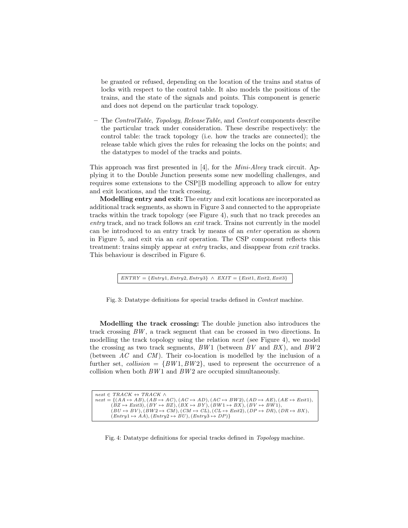be granted or refused, depending on the location of the trains and status of locks with respect to the control table. It also models the positions of the trains, and the state of the signals and points. This component is generic and does not depend on the particular track topology.

– The *ControlTable*, *Topology*, *ReleaseTable*, and *Context* components describe the particular track under consideration. These describe respectively: the control table: the track topology (i.e. how the tracks are connected); the release table which gives the rules for releasing the locks on the points; and the datatypes to model of the tracks and points.

This approach was first presented in [4], for the *Mini-Alvey* track circuit. Applying it to the Double Junction presents some new modelling challenges, and requires some extensions to the  $CSP||B$  modelling approach to allow for entry and exit locations, and the track crossing.

Modelling entry and exit: The entry and exit locations are incorporated as additional track segments, as shown in Figure 3 and connected to the appropriate tracks within the track topology (see Figure 4), such that no track precedes an *entry* track, and no track follows an *exit* track. Trains not currently in the model can be introduced to an entry track by means of an *enter* operation as shown in Figure 5, and exit via an *exit* operation. The CSP component reflects this treatment: trains simply appear at *entry* tracks, and disappear from *exit* tracks. This behaviour is described in Figure 6.

 $ENTRY = \{Entry1, Entry2, Entry3\}$  ^  $EXIT = \{Exit1, Exist2, Exist3\}$ 

Fig. 3: Datatype definitions for special tracks defined in *Context* machine.

Modelling the track crossing: The double junction also introduces the track crossing *BW* , a track segment that can be crossed in two directions. In modelling the track topology using the relation *next* (see Figure 4), we model the crossing as two track segments, *BW* 1 (between *BV* and *BX* ), and *BW* 2 (between *AC* and *CM* ). Their co-location is modelled by the inclusion of a further set, *collision* =  $\{BW1, BW2\}$ , used to represent the occurrence of a collision when both  $BW1$  and  $BW2$  are occupied simultaneously.

| $next \in TRACK \leftrightarrow TRACK \wedge$                                                                                                      |
|----------------------------------------------------------------------------------------------------------------------------------------------------|
| $next = \{(AA \mapsto AB), (AB \mapsto AC), (AC \mapsto AD), (AC \mapsto BW2), (AD \mapsto AE), (AE \mapsto Ext1),$                                |
| $(BZ \rightarrow Exit3)$ , $(BY \rightarrow BZ)$ , $(BX \rightarrow BY)$ , $(BW1 \rightarrow BX)$ , $(BV \rightarrow BW1)$ ,                       |
| $(BU \rightarrow BV)$ , $(BW2 \rightarrow CM)$ , $(CM \rightarrow CL)$ , $(CL \rightarrow Ext2)$ , $(DP \rightarrow DR)$ , $(DR \rightarrow BX)$ , |
| $(Entry1 \rightarrow AA), (Entry2 \rightarrow BU), (Entry3 \rightarrow DP)$                                                                        |
|                                                                                                                                                    |

Fig. 4: Datatype definitions for special tracks defined in *Topology* machine.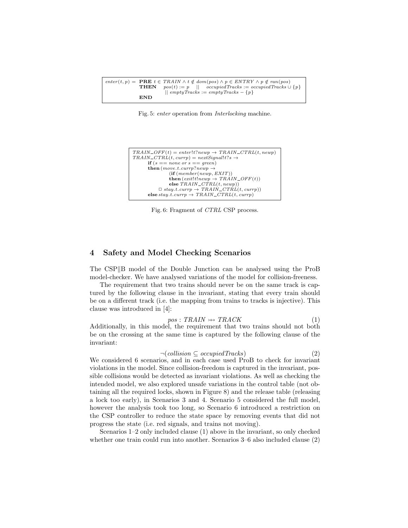$enter(t, p) = \begin{array}{c} \textbf{PRE} \ t \in \text{TRAN} \land t \notin \text{dom}(pos) \land p \in \text{ENTRY} \land p \notin \text{ran}(pos) \\ \textbf{THEN} \quad \text{nos}(t) := n \quad || \quad \text{occuniedTracks} = \text{occuniedTracks} \end{array}$  $pos(t) := p$  ||  $occupiedTracks := occupiedTracks \cup \{p\}$  $||$  *emptyTracks* := *emptyTracks* -  ${p}$ END

Fig. 5: *enter* operation from *Interlocking* machine.

$$
\begin{array}{c} TRAIN\_OFF(t) = enter! t?newp \rightarrow TRAIN\_CTRL(t, newp) \\ TRAIN\_CTRL(t, curr) = nextSignal! t? s \rightarrow \\ \text{if } (s = none or s = green) \\ \text{then } (move.t. curr) ?newp \rightarrow \\ \text{(if } (member(newp, EXT)) \\ \text{then } (exit!newp \rightarrow TRAIN\_OFF(t)) \\ \text{else } TRALN\_CTRL(t, newp)) \\ \text{else } stay.t. currp \rightarrow TRAIN\_CTRL(t, currp)) \\ \end{array}
$$

Fig. 6: Fragment of *CTRL* CSP process.

#### 4 Safety and Model Checking Scenarios

The CSP B model of the Double Junction can be analysed using the ProB model-checker. We have analysed variations of the model for collision-freeness.

The requirement that two trains should never be on the same track is captured by the following clause in the invariant, stating that every train should be on a different track (i.e. the mapping from trains to tracks is injective). This clause was introduced in [4]:

$$
pos: TRAIN \rightarrow \text{TRACK} \tag{1}
$$

 $pos: TRAIN \rightarrow TRACK$  (1)<br>Additionally, in this model, the requirement that two trains should not both be on the crossing at the same time is captured by the following clause of the invariant:

$$
\neg(collision \subseteq occupied\,
$$
\n
$$
(2)
$$

*→*(*collision* ⊆ *occupiedTracks*) (2)<br>We considered 6 scenarios, and in each case used ProB to check for invariant violations in the model. Since collision-freedom is captured in the invariant, possible collisions would be detected as invariant violations. As well as checking the intended model, we also explored unsafe variations in the control table (not obtaining all the required locks, shown in Figure 8) and the release table (releasing a lock too early), in Scenarios 3 and 4. Scenario 5 considered the full model, however the analysis took too long, so Scenario 6 introduced a restriction on the CSP controller to reduce the state space by removing events that did not progress the state (i.e. red signals, and trains not moving).

Scenarios 1–2 only included clause (1) above in the invariant, so only checked whether one train could run into another. Scenarios 3–6 also included clause (2)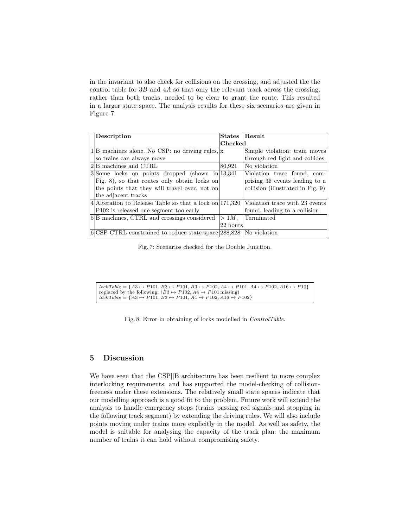in the invariant to also check for collisions on the crossing, and adjusted the the control table for 3*B* and 4*A* so that only the relevant track across the crossing, rather than both tracks, needed to be clear to grant the route. This resulted in a larger state space. The analysis results for these six scenarios are given in Figure 7.

| Description                                                          | States    | Result                            |
|----------------------------------------------------------------------|-----------|-----------------------------------|
|                                                                      | Checked   |                                   |
| $1 B$ machines alone. No CSP: no driving rules,  x                   |           | Simple violation: train moves     |
| so trains can always move                                            |           | through red light and collides    |
| 2 <sup>B</sup> machines and CTRL                                     | 80,921    | No violation                      |
| $3$ Some locks on points dropped (shown in 13,341)                   |           | Violation trace found, com-       |
| Fig. 8), so that routes only obtain locks on                         |           | prising 36 events leading to a    |
| the points that they will travel over, not on                        |           | collision (illustrated in Fig. 9) |
| the adjacent tracks                                                  |           |                                   |
| 4. Alteration to Release Table so that a lock on $171,320$           |           | Violation trace with 23 events    |
| P102 is released one segment too early                               |           | found, leading to a collision     |
| 5 <sup>B</sup> machines, CTRL and crossings considered               | $>1M$ .   | Terminated                        |
|                                                                      | '22 hours |                                   |
| $6 CSP$ CTRL constrained to reduce state space 288,828  No violation |           |                                   |

Fig. 7: Scenarios checked for the Double Junction.

 $lockTable = \{A3 \mapsto P101, B3 \mapsto P101, B3 \mapsto P102, A4 \mapsto P101, A4 \mapsto P102, A16 \mapsto P10\}$ replaced by the following:  $(B3 \rightarrow P102, A4 \rightarrow P101 \text{ missing})$  $\overrightarrow{lockTable} = \{A3 \mapsto P101, B3 \mapsto P101, A4 \mapsto P102, A16 \mapsto P102\}$ 

Fig. 8: Error in obtaining of locks modelled in *ControlTable*.

#### 5 Discussion

We have seen that the CSP*||*B architecture has been resilient to more complex interlocking requirements, and has supported the model-checking of collisionfreeness under these extensions. The relatively small state spaces indicate that our modelling approach is a good fit to the problem. Future work will extend the analysis to handle emergency stops (trains passing red signals and stopping in the following track segment) by extending the driving rules. We will also include points moving under trains more explicitly in the model. As well as safety, the model is suitable for analysing the capacity of the track plan: the maximum number of trains it can hold without compromising safety.